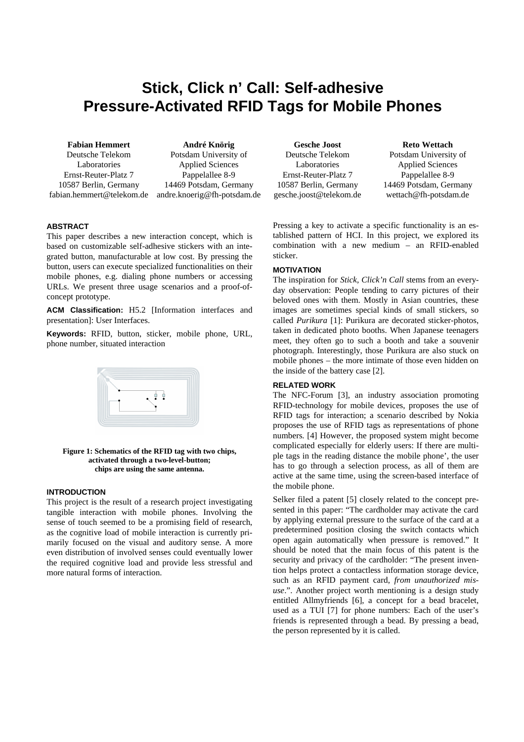# **Stick, Click n' Call: Self-adhesive Pressure-Activated RFID Tags for Mobile Phones**

**Fabian Hemmert** Deutsche Telekom Laboratories Ernst-Reuter-Platz 7 10587 Berlin, Germany fabian.hemmert@telekom.de

**André Knörig** Potsdam University of Applied Sciences Pappelallee 8-9 14469 Potsdam, Germany andre.knoerig@fh-potsdam.de

## **ABSTRACT**

This paper describes a new interaction concept, which is based on customizable self-adhesive stickers with an integrated button, manufacturable at low cost. By pressing the button, users can execute specialized functionalities on their mobile phones, e.g. dialing phone numbers or accessing URLs. We present three usage scenarios and a proof-ofconcept prototype.

**ACM Classification:** H5.2 [Information interfaces and presentation]: User Interfaces.

**Keywords:** RFID, button, sticker, mobile phone, URL, phone number, situated interaction



#### **Figure 1: Schematics of the RFID tag with two chips, activated through a two-level-button; chips are using the same antenna.**

#### **INTRODUCTION**

This project is the result of a research project investigating tangible interaction with mobile phones. Involving the sense of touch seemed to be a promising field of research, as the cognitive load of mobile interaction is currently primarily focused on the visual and auditory sense. A more even distribution of involved senses could eventually lower the required cognitive load and provide less stressful and more natural forms of interaction.

**Gesche Joost** Deutsche Telekom Laboratories Ernst-Reuter-Platz 7 10587 Berlin, Germany gesche.joost@telekom.de

## **Reto Wettach**

Potsdam University of Applied Sciences Pappelallee 8-9 14469 Potsdam, Germany wettach@fh-potsdam.de

Pressing a key to activate a specific functionality is an established pattern of HCI. In this project, we explored its combination with a new medium – an RFID-enabled sticker.

## **MOTIVATION**

The inspiration for *Stick, Click'n Call* stems from an everyday observation: People tending to carry pictures of their beloved ones with them. Mostly in Asian countries, these images are sometimes special kinds of small stickers, so called *Purikura* [1]: Purikura are decorated sticker-photos, taken in dedicated photo booths. When Japanese teenagers meet, they often go to such a booth and take a souvenir photograph. Interestingly, those Purikura are also stuck on mobile phones – the more intimate of those even hidden on the inside of the battery case [2].

#### **RELATED WORK**

The NFC-Forum [3], an industry association promoting RFID-technology for mobile devices, proposes the use of RFID tags for interaction; a scenario described by Nokia proposes the use of RFID tags as representations of phone numbers. [4] However, the proposed system might become complicated especially for elderly users: If there are multiple tags in the reading distance the mobile phone', the user has to go through a selection process, as all of them are active at the same time, using the screen-based interface of the mobile phone.

Selker filed a patent [5] closely related to the concept presented in this paper: "The cardholder may activate the card by applying external pressure to the surface of the card at a predetermined position closing the switch contacts which open again automatically when pressure is removed." It should be noted that the main focus of this patent is the security and privacy of the cardholder: "The present invention helps protect a contactless information storage device, such as an RFID payment card, *from unauthorized misuse*.". Another project worth mentioning is a design study entitled Allmyfriends [6], a concept for a bead bracelet, used as a TUI [7] for phone numbers: Each of the user's friends is represented through a bead. By pressing a bead, the person represented by it is called.